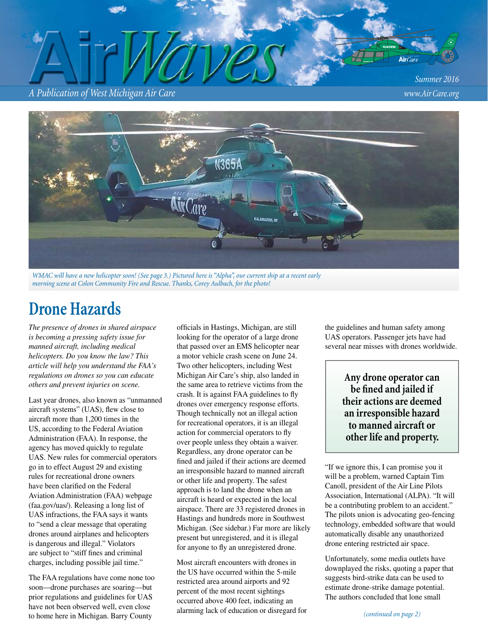#### *A Publication of West Michigan Air Care www.Air Care.org*

*Summer 2016*



*WMAC will have a new helicopter soon! (See page 3.) Pictured here is "Alpha", our current ship at a recent early morning scene at Colon Community Fire and Rescue. Thanks, Corey Aulbach, for the photo!*

# **Drone Hazards**

*The presence of drones in shared airspace is becoming a pressing safety issue for manned aircraft, including medical helicopters. Do you know the law? This article will help you understand the FAA's regulations on drones so you can educate others and prevent injuries on scene.* 

Last year drones, also known as "unmanned aircraft systems" (UAS), flew close to aircraft more than 1,200 times in the US, according to the Federal Aviation Administration (FAA). In response, the agency has moved quickly to regulate UAS. New rules for commercial operators go in to effect August 29 and existing rules for recreational drone owners have been clarified on the Federal Aviation Administration (FAA) webpage (faa.gov/uas/). Releasing a long list of UAS infractions, the FAA says it wants to "send a clear message that operating drones around airplanes and helicopters is dangerous and illegal." Violators are subject to "stiff fines and criminal charges, including possible jail time."

The FAA regulations have come none too soon—drone purchases are soaring—but prior regulations and guidelines for UAS have not been observed well, even close to home here in Michigan. Barry County

officials in Hastings, Michigan, are still looking for the operator of a large drone that passed over an EMS helicopter near a motor vehicle crash scene on June 24. Two other helicopters, including West Michigan Air Care's ship, also landed in the same area to retrieve victims from the crash. It is against FAA guidelines to fly drones over emergency response efforts. Though technically not an illegal action for recreational operators, it is an illegal action for commercial operators to fly over people unless they obtain a waiver. Regardless, any drone operator can be fined and jailed if their actions are deemed an irresponsible hazard to manned aircraft or other life and property. The safest approach is to land the drone when an aircraft is heard or expected in the local airspace. There are 33 registered drones in Hastings and hundreds more in Southwest Michigan. (See sidebar.) Far more are likely present but unregistered, and it is illegal for anyone to fly an unregistered drone.

Most aircraft encounters with drones in the US have occurred within the 5-mile restricted area around airports and 92 percent of the most recent sightings occurred above 400 feet, indicating an alarming lack of education or disregard for the guidelines and human safety among UAS operators. Passenger jets have had several near misses with drones worldwide.

> **Any drone operator can**  be fined and jailed if **their actions are deemed an irresponsible hazard to manned aircraft or other life and property.**

"If we ignore this, I can promise you it will be a problem, warned Captain Tim Canoll, president of the Air Line Pilots Association, International (ALPA). "It will be a contributing problem to an accident." The pilots union is advocating geo-fencing technology, embedded software that would automatically disable any unauthorized drone entering restricted air space.

Unfortunately, some media outlets have downplayed the risks, quoting a paper that suggests bird-strike data can be used to estimate drone-strike damage potential. The authors concluded that lone small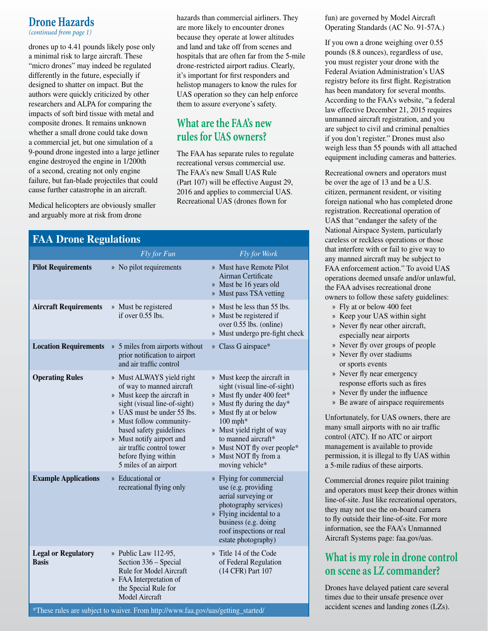#### **Drone Hazards**

*(continued from page 1)*

drones up to 4.41 pounds likely pose only a minimal risk to large aircraft. These "micro drones" may indeed be regulated differently in the future, especially if designed to shatter on impact. But the authors were quickly criticized by other researchers and ALPA for comparing the impacts of soft bird tissue with metal and composite drones. It remains unknown whether a small drone could take down a commercial jet, but one simulation of a 9-pound drone ingested into a large jetliner engine destroyed the engine in 1/200th of a second, creating not only engine failure, but fan-blade projectiles that could cause further catastrophe in an aircraft.

Medical helicopters are obviously smaller and arguably more at risk from drone

hazards than commercial airliners. They are more likely to encounter drones because they operate at lower altitudes and land and take off from scenes and hospitals that are often far from the 5-mile drone-restricted airport radius. Clearly, it's important for first responders and helistop managers to know the rules for UAS operation so they can help enforce them to assure everyone's safety.

# **What are the FAA's new rules for UAS owners?**

The FAA has separate rules to regulate recreational versus commercial use. The FAA's new Small UAS Rule (Part 107) will be effective August 29, 2016 and applies to commercial UAS. Recreational UAS (drones flown for

| <b>FAA Drone Regulations</b>               |                                                                                                                                                                                                                                                                                                                        |                                                                                                                                                                                                                                                                                                |  |  |
|--------------------------------------------|------------------------------------------------------------------------------------------------------------------------------------------------------------------------------------------------------------------------------------------------------------------------------------------------------------------------|------------------------------------------------------------------------------------------------------------------------------------------------------------------------------------------------------------------------------------------------------------------------------------------------|--|--|
|                                            | Fly for Fun                                                                                                                                                                                                                                                                                                            | Fly for Work                                                                                                                                                                                                                                                                                   |  |  |
| <b>Pilot Requirements</b>                  | » No pilot requirements                                                                                                                                                                                                                                                                                                | » Must have Remote Pilot<br>Airman Certificate<br>» Must be 16 years old<br>» Must pass TSA vetting                                                                                                                                                                                            |  |  |
| <b>Aircraft Requirements</b>               | » Must be registered<br>if over $0.55$ lbs.                                                                                                                                                                                                                                                                            | » Must be less than 55 lbs.<br>» Must be registered if<br>over 0.55 lbs. (online)<br>» Must undergo pre-fight check                                                                                                                                                                            |  |  |
| <b>Location Requirements</b>               | » 5 miles from airports without<br>prior notification to airport<br>and air traffic control                                                                                                                                                                                                                            | » Class G airspace*                                                                                                                                                                                                                                                                            |  |  |
| <b>Operating Rules</b>                     | » Must ALWAYS yield right<br>of way to manned aircraft<br>» Must keep the aircraft in<br>sight (visual line-of-sight)<br>» UAS must be under 55 lbs.<br>» Must follow community-<br>based safety guidelines<br>» Must notify airport and<br>air traffic control tower<br>before flying within<br>5 miles of an airport | » Must keep the aircraft in<br>sight (visual line-of-sight)<br>» Must fly under 400 feet*<br>» Must fly during the day*<br>» Must fly at or below<br>$100$ mph*<br>» Must yield right of way<br>to manned aircraft*<br>» Must NOT fly over people*<br>» Must NOT fly from a<br>moving vehicle* |  |  |
| <b>Example Applications</b>                | » Educational or<br>recreational flying only                                                                                                                                                                                                                                                                           | » Flying for commercial<br>use (e.g. providing<br>aerial surveying or<br>photography services)<br>» Flying incidental to a<br>business (e.g. doing<br>roof inspections or real<br>estate photography)                                                                                          |  |  |
| <b>Legal or Regulatory</b><br><b>Basis</b> | » Public Law 112-95,<br>Section 336 - Special<br>Rule for Model Aircraft<br>» FAA Interpretation of<br>the Special Rule for<br><b>Model Aircraft</b>                                                                                                                                                                   | » Title 14 of the Code<br>of Federal Regulation<br>(14 CFR) Part 107                                                                                                                                                                                                                           |  |  |

fun) are governed by Model Aircraft Operating Standards (AC No. 91-57A.)

If you own a drone weighing over 0.55 pounds (8.8 ounces), regardless of use, you must register your drone with the Federal Aviation Administration's UAS registry before its first flight. Registration has been mandatory for several months. According to the FAA's website, "a federal law effective December 21, 2015 requires unmanned aircraft registration, and you are subject to civil and criminal penalties if you don't register." Drones must also weigh less than 55 pounds with all attached equipment including cameras and batteries.

Recreational owners and operators must be over the age of 13 and be a U.S. citizen, permanent resident, or visiting foreign national who has completed drone registration. Recreational operation of UAS that "endanger the safety of the National Airspace System, particularly careless or reckless operations or those that interfere with or fail to give way to any manned aircraft may be subject to FAA enforcement action." To avoid UAS operations deemed unsafe and/or unlawful, the FAA advises recreational drone owners to follow these safety guidelines:

- » Fly at or below 400 feet
- » Keep your UAS within sight
- » Never fly near other aircraft, especially near airports
- » Never fly over groups of people
- » Never fly over stadiums or sports events
- » Never fly near emergency response efforts such as fires
- » Never fly under the influence
- » Be aware of airspace requirements

Unfortunately, for UAS owners, there are many small airports with no air traffic control (ATC). If no ATC or airport management is available to provide permission, it is illegal to fly UAS within a 5-mile radius of these airports.

Commercial drones require pilot training and operators must keep their drones within line-of-site. Just like recreational operators, they may not use the on-board camera to fly outside their line-of-site. For more information, see the FAA's Unmanned Aircraft Systems page: faa.gov/uas.

## **What is my role in drone control on scene as LZ commander?**

Drones have delayed patient care several times due to their unsafe presence over accident scenes and landing zones (LZs).

\*These rules are subject to waiver. From http://www.faa.gov/uas/getting\_started/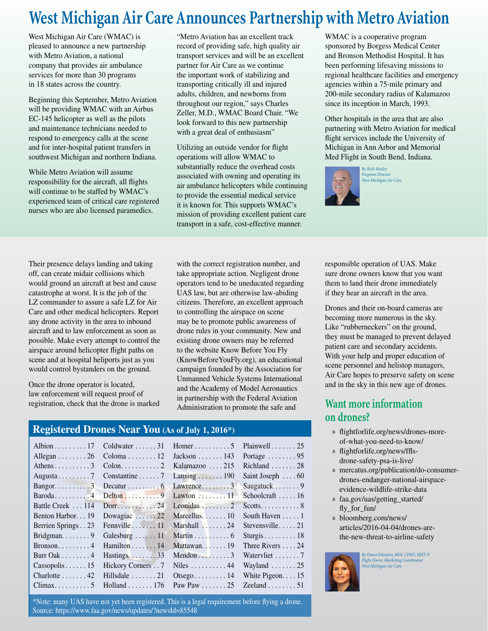# **West Michigan Air Care Announces Partnership with Metro Aviation**

West Michigan Air Care (WMAC) is pleased to announce a new partnership with Metro Aviation, a national company that provides air ambulance services for more than 30 programs in 18 states across the country.

Beginning this September, Metro Aviation will be providing WMAC with an Airbus EC-145 helicopter as well as the pilots and maintenance technicians needed to respond to emergency calls at the scene and for inter-hospital patient transfers in southwest Michigan and northern Indiana.

While Metro Aviation will assume responsibility for the aircraft, all flights will continue to be staffed by WMAC's experienced team of critical care registered nurses who are also licensed paramedics.

Their presence delays landing and taking off, can create midair collisions which would ground an aircraft at best and cause catastrophe at worst. It is the job of the LZ commander to assure a safe LZ for Air Care and other medical helicopters. Report any drone activity in the area to inbound aircraft and to law enforcement as soon as possible. Make every attempt to control the airspace around helicopter flight paths on scene and at hospital heliports just as you would control bystanders on the ground.

Once the drone operator is located, law enforcement will request proof of registration, check that the drone is marked

"Metro Aviation has an excellent track record of providing safe, high quality air transport services and will be an excellent partner for Air Care as we continue the important work of stabilizing and transporting critically ill and injured adults, children, and newborns from throughout our region," says Charles Zeller, M.D., WMAC Board Chair. "We look forward to this new partnership with a great deal of enthusiasm"

Utilizing an outside vendor for flight operations will allow WMAC to substantially reduce the overhead costs associated with owning and operating its air ambulance helicopters while continuing to provide the essential medical service it is known for. This supports WMAC's mission of providing excellent patient care transport in a safe, cost-effective manner.

with the correct registration number, and

WMAC is a cooperative program sponsored by Borgess Medical Center and Bronson Methodist Hospital. It has been performing lifesaving missions to regional healthcare facilities and emergency agencies within a 75-mile primary and 200-mile secondary radius of Kalamazoo since its inception in March, 1993.

Other hospitals in the area that are also partnering with Metro Aviation for medical flight services include the University of Michigan in Ann Arbor and Memorial Med Flight in South Bend, Indiana.



*By Rick Morley Program Director West Michigan Air Care*

take appropriate action. Negligent drone operators tend to be uneducated regarding UAS law, but are otherwise law-abiding citizens. Therefore, an excellent approach to controlling the airspace on scene may be to promote public awareness of drone rules in your community. New and existing drone owners may be referred to the website Know Before You Fly (KnowBeforeYouFly.org), an educational campaign founded by the Association for Unmanned Vehicle Systems International and the Academy of Model Aeronautics in partnership with the Federal Aviation Administration to promote the safe and

#### **Registered Drones Near You (As of July 1, 2016\*)**

|                                   |                                       | Albion 17 Coldwater 31 Homer 5                    | Plainwell $\ldots \ldots 25$      |
|-----------------------------------|---------------------------------------|---------------------------------------------------|-----------------------------------|
| Allegan $\ldots \ldots \ldots 26$ | Coloma $12$ Jackson  143              |                                                   | Portage $\ldots \ldots \ldots 95$ |
|                                   |                                       |                                                   | Richland  28                      |
|                                   |                                       |                                                   | Saint Joseph $\ldots$ 60          |
|                                   |                                       |                                                   | Saugatuck 9                       |
|                                   |                                       |                                                   | Schoolcraft  16                   |
|                                   | Battle Creek  114 Dorr 24 Leonidas  2 |                                                   |                                   |
| Benton Harbor 19                  | Dowagiac  22 Marcellus 10             |                                                   | South Haven $\dots$ 1             |
| Berrien Springs23                 | Fennville $\dots \dots 11$            | Marshall $\ldots \ldots 24$                       | Stevensville $21$                 |
| Bridgman. $\ldots$ 9              | Galesburg $\dots$ 11                  | Martin $\ldots \ldots \ldots 6$                   | Sturgis $\ldots \ldots \ldots 18$ |
| Bronson $4$                       | Hamilton $\ldots \ldots 14$           | Mattawan $19$                                     | Three Rivers 24                   |
| Burr Oak $\dots \dots 4$          | Hastings $33$                         |                                                   | Watervliet 7                      |
| Cassopolis15                      | Hickory Corners                       | Niles $\ldots \ldots \ldots 44$                   | Wayland $\ldots \ldots 25$        |
| $Charlotte \ldots 42$             | Hillsdale $\ldots \ldots \ldots 21$   | $Otseg0 \ldots 14$                                | White Pigeon. $\dots$ 15          |
|                                   | $Climax \dots 5$ Holland $\dots 176$  | Paw Paw $\dots \dots 25$ Zeeland $\dots \dots 51$ |                                   |

\*Note: many UAS have not yet been registered. This is a legal requirement before fl ying a drone. Source: https://www.faa.gov/news/updates/?newsId=85548

responsible operation of UAS. Make sure drone owners know that you want them to land their drone immediately if they hear an aircraft in the area.

Drones and their on-board cameras are becoming more numerous in the sky. Like "rubberneckers" on the ground, they must be managed to prevent delayed patient care and secondary accidents. With your help and proper education of scene personnel and helistop managers, Air Care hopes to preserve safety on scene and in the sky in this new age of drones.

#### **Want more information on drones?**

- » flightforlife.org/news/drones-moreof-what-you-need-to-know/
- » flightforlife.org/news/fflsdrone-safety-psa-is-live/
- » mercatus.org/publication/do-consumerdrones-endanger-national-airspaceevidence-wildlife-strike-data
- » faa.gov/uas/getting\_started/ fly\_for\_fun/
- » bloomberg.com/news/ articles/2016-04-04/drones-arethe-new-threat-to-airline-safety



*By Dawn Johnston, BSN, CFRN, EMT-P Flight Nurse, Marketing Coordinator West Michigan Air Care*